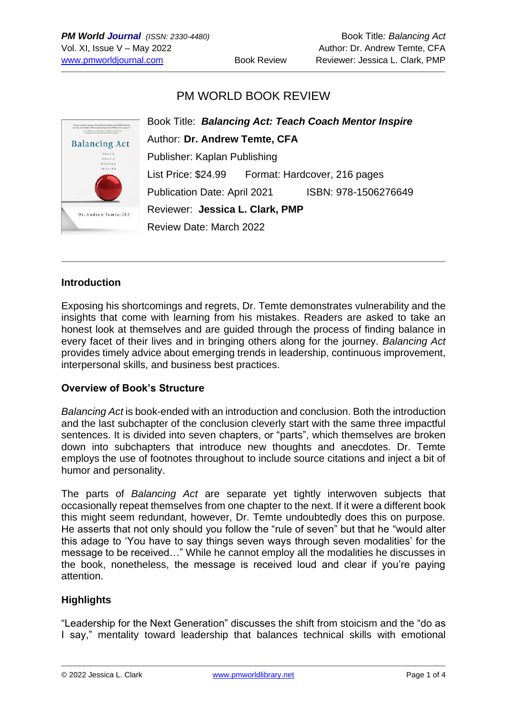# PM WORLD BOOK REVIEW



### **Introduction**

Exposing his shortcomings and regrets, Dr. Temte demonstrates vulnerability and the insights that come with learning from his mistakes. Readers are asked to take an honest look at themselves and are guided through the process of finding balance in every facet of their lives and in bringing others along for the journey. *Balancing Act* provides timely advice about emerging trends in leadership, continuous improvement, interpersonal skills, and business best practices.

### **Overview of Book's Structure**

*Balancing Act* is book-ended with an introduction and conclusion. Both the introduction and the last subchapter of the conclusion cleverly start with the same three impactful sentences. It is divided into seven chapters, or "parts", which themselves are broken down into subchapters that introduce new thoughts and anecdotes. Dr. Temte employs the use of footnotes throughout to include source citations and inject a bit of humor and personality.

The parts of *Balancing Act* are separate yet tightly interwoven subjects that occasionally repeat themselves from one chapter to the next. If it were a different book this might seem redundant, however, Dr. Temte undoubtedly does this on purpose. He asserts that not only should you follow the "rule of seven" but that he "would alter this adage to 'You have to say things seven ways through seven modalities' for the message to be received…" While he cannot employ all the modalities he discusses in the book, nonetheless, the message is received loud and clear if you're paying attention.

### **Highlights**

"Leadership for the Next Generation" discusses the shift from stoicism and the "do as I say," mentality toward leadership that balances technical skills with emotional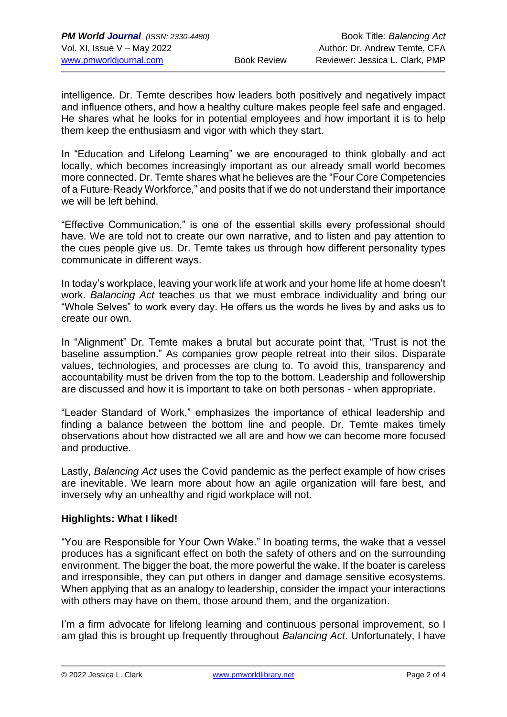intelligence. Dr. Temte describes how leaders both positively and negatively impact and influence others, and how a healthy culture makes people feel safe and engaged. He shares what he looks for in potential employees and how important it is to help them keep the enthusiasm and vigor with which they start.

In "Education and Lifelong Learning" we are encouraged to think globally and act locally, which becomes increasingly important as our already small world becomes more connected. Dr. Temte shares what he believes are the "Four Core Competencies of a Future-Ready Workforce," and posits that if we do not understand their importance we will be left behind.

"Effective Communication," is one of the essential skills every professional should have. We are told not to create our own narrative, and to listen and pay attention to the cues people give us. Dr. Temte takes us through how different personality types communicate in different ways.

In today's workplace, leaving your work life at work and your home life at home doesn't work. *Balancing Act* teaches us that we must embrace individuality and bring our "Whole Selves" to work every day. He offers us the words he lives by and asks us to create our own.

In "Alignment" Dr. Temte makes a brutal but accurate point that, "Trust is not the baseline assumption." As companies grow people retreat into their silos. Disparate values, technologies, and processes are clung to. To avoid this, transparency and accountability must be driven from the top to the bottom. Leadership and followership are discussed and how it is important to take on both personas - when appropriate.

"Leader Standard of Work," emphasizes the importance of ethical leadership and finding a balance between the bottom line and people. Dr. Temte makes timely observations about how distracted we all are and how we can become more focused and productive.

Lastly, *Balancing Act* uses the Covid pandemic as the perfect example of how crises are inevitable. We learn more about how an agile organization will fare best, and inversely why an unhealthy and rigid workplace will not.

### **Highlights: What I liked!**

"You are Responsible for Your Own Wake." In boating terms, the wake that a vessel produces has a significant effect on both the safety of others and on the surrounding environment. The bigger the boat, the more powerful the wake. If the boater is careless and irresponsible, they can put others in danger and damage sensitive ecosystems. When applying that as an analogy to leadership, consider the impact your interactions with others may have on them, those around them, and the organization.

I'm a firm advocate for lifelong learning and continuous personal improvement, so I am glad this is brought up frequently throughout *Balancing Act*. Unfortunately, I have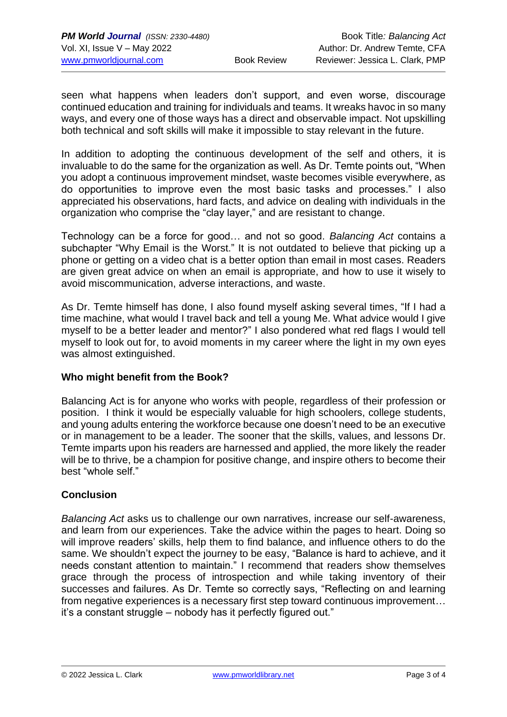seen what happens when leaders don't support, and even worse, discourage continued education and training for individuals and teams. It wreaks havoc in so many ways, and every one of those ways has a direct and observable impact. Not upskilling both technical and soft skills will make it impossible to stay relevant in the future.

In addition to adopting the continuous development of the self and others, it is invaluable to do the same for the organization as well. As Dr. Temte points out, "When you adopt a continuous improvement mindset, waste becomes visible everywhere, as do opportunities to improve even the most basic tasks and processes." I also appreciated his observations, hard facts, and advice on dealing with individuals in the organization who comprise the "clay layer," and are resistant to change.

Technology can be a force for good… and not so good. *Balancing Act* contains a subchapter "Why Email is the Worst." It is not outdated to believe that picking up a phone or getting on a video chat is a better option than email in most cases. Readers are given great advice on when an email is appropriate, and how to use it wisely to avoid miscommunication, adverse interactions, and waste.

As Dr. Temte himself has done, I also found myself asking several times, "If I had a time machine, what would I travel back and tell a young Me. What advice would I give myself to be a better leader and mentor?" I also pondered what red flags I would tell myself to look out for, to avoid moments in my career where the light in my own eyes was almost extinguished.

### **Who might benefit from the Book?**

Balancing Act is for anyone who works with people, regardless of their profession or position. I think it would be especially valuable for high schoolers, college students, and young adults entering the workforce because one doesn't need to be an executive or in management to be a leader. The sooner that the skills, values, and lessons Dr. Temte imparts upon his readers are harnessed and applied, the more likely the reader will be to thrive, be a champion for positive change, and inspire others to become their best "whole self."

### **Conclusion**

*Balancing Act* asks us to challenge our own narratives, increase our self-awareness, and learn from our experiences. Take the advice within the pages to heart. Doing so will improve readers' skills, help them to find balance, and influence others to do the same. We shouldn't expect the journey to be easy, "Balance is hard to achieve, and it needs constant attention to maintain." I recommend that readers show themselves grace through the process of introspection and while taking inventory of their successes and failures. As Dr. Temte so correctly says, "Reflecting on and learning from negative experiences is a necessary first step toward continuous improvement… it's a constant struggle – nobody has it perfectly figured out."